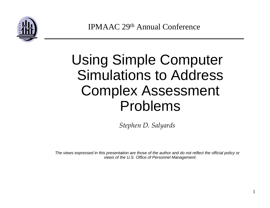

# Using Simple Computer Simulations to Address Complex Assessment Problems

*Stephen D. Salyards*

*The views expressed in this presentation are those of the author and do not reflect the official policy or views of the U.S. Office of Personnel Management.*

1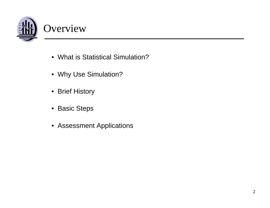

- What is Statistical Simulation?
- Why Use Simulation?
- Brief History
- Basic Steps
- Assessment Applications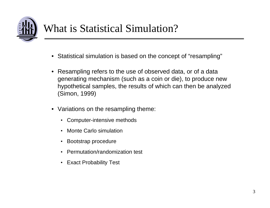

- •Statistical simulation is based on the concept of "resampling"
- • Resampling refers to the use of observed data, or of a data generating mechanism (such as a coin or die), to produce new hypothetical samples, the results of which can then be analyzed (Simon, 1999)
- Variations on the resampling theme:
	- •Computer-intensive methods
	- •Monte Carlo simulation
	- Bootstrap procedure
	- •Permutation/randomization test
	- Exact Probability Test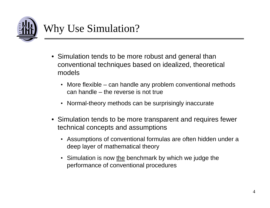

- Simulation tends to be more robust and general than conventional techniques based on idealized, theoretical models
	- More flexible can handle any problem conventional methods can handle – the reverse is not true
	- Normal-theory methods can be surprisingly inaccurate
- Simulation tends to be more transparent and requires fewer technical concepts and assumptions
	- Assumptions of conventional formulas are often hidden under a deep layer of mathematical theory
	- Simulation is now the benchmark by which we judge the performance of conventional procedures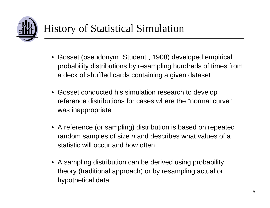

- Gosset (pseudonym "Student", 1908) developed empirical probability distributions by resampling hundreds of times from a deck of shuffled cards containing a given dataset
- Gosset conducted his simulation research to develop reference distributions for cases where the "normal curve"was inappropriate
- A reference (or sampling) distribution is based on repeated random samples of size *n* and describes what values of a statistic will occur and how often
- A sampling distribution can be derived using probability theory (traditional approach) or by resampling actual or hypothetical data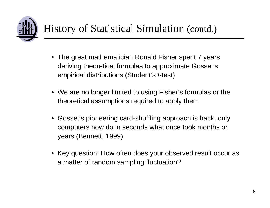

# History of Statistical Simulation (contd.)

- The great mathematician Ronald Fisher spent 7 years deriving theoretical formulas to approximate Gosset's empirical distributions (Student's *t*-test)
- We are no longer limited to using Fisher's formulas or the theoretical assumptions required to apply them
- Gosset's pioneering card-shuffling approach is back, only computers now do in seconds what once took months or years (Bennett, 1999)
- Key question: How often does your observed result occur as a matter of random sampling fluctuation?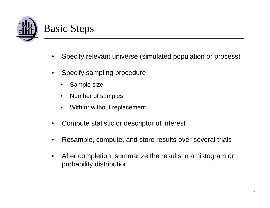

- •Specify relevant universe (simulated population or process)
- • Specify sampling procedure
	- •Sample size
	- •Number of samples
	- •With or without replacement
- •Compute statistic or descriptor of interest
- •Resample, compute, and store results over several trials
- $\bullet$  After completion, summarize the results in a histogram or probability distribution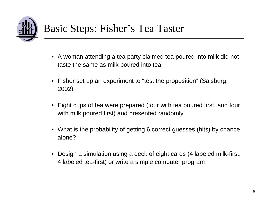

- A woman attending a tea party claimed tea poured into milk did not taste the same as milk poured into tea
- Fisher set up an experiment to "test the proposition" (Salsburg, 2002)
- Eight cups of tea were prepared (four with tea poured first, and four with milk poured first) and presented randomly
- What is the probability of getting 6 correct guesses (hits) by chance alone?
- • Design a simulation using a deck of eight cards (4 labeled milk-first, 4 labeled tea-first) or write a simple computer program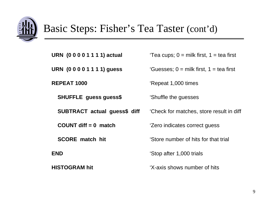

### Basic Steps: Fisher's Tea Taster (cont'd)

**REPEAT 1000**

**SHUFFLE guess guess\$** 'Shuffle the guesses

**COUNT diff = 0 match**

**SCORE match hit**

**END**

**HISTOGRAM hit**

**URN (0 0 0 0 1 1 1 1) actual**  $\qquad \qquad$  'Tea cups; 0 = milk first, 1 = tea first

**URN (0 0 0 0 1 1 1 1) guess** 'Guesses; 0 = milk first, 1 = tea first

'Repeat 1,000 times

**SUBTRACT actual guess\$ diff** 'Check for matches, store result in diff

'Zero indicates correct guess

'Store number of hits for that trial

'Stop after 1,000 trials

'X-axis shows number of hits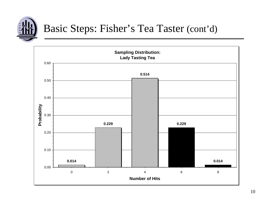

#### Basic Steps: Fisher's Tea Taster (cont'd)

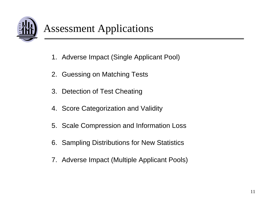

- 1. Adverse Impact (Single Applicant Pool)
- 2. Guessing on Matching Tests
- 3. Detection of Test Cheating
- 4. Score Categorization and Validity
- 5. Scale Compression and Information Loss
- 6. Sampling Distributions for New Statistics
- 7. Adverse Impact (Multiple Applicant Pools)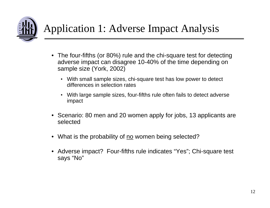

# Application 1: Adverse Impact Analysis

- The four-fifths (or 80%) rule and the chi-square test for detecting adverse impact can disagree 10-40% of the time depending on sample size (York, 2002)
	- With small sample sizes, chi-square test has low power to detect differences in selection rates
	- With large sample sizes, four-fifths rule often fails to detect adverse impact
- Scenario: 80 men and 20 women apply for jobs, 13 applicants are selected
- What is the probability of <u>no</u> women being selected?
- • Adverse impact? Four-fifths rule indicates "Yes"; Chi-square test says "No"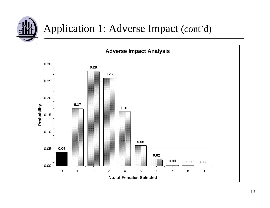

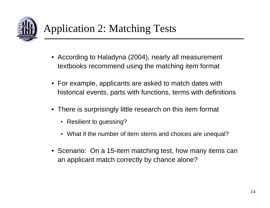

- According to Haladyna (2004), nearly all measurement textbooks recommend using the matching item format
- For example, applicants are asked to match dates with historical events, parts with functions, terms with definitions
- There is surprisingly little research on this item format
	- Resilient to guessing?
	- What if the number of item stems and choices are unequal?
- Scenario: On a 15-item matching test, how many items can an applicant match correctly by chance alone?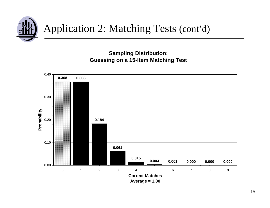

#### Application 2: Matching Tests (cont'd)

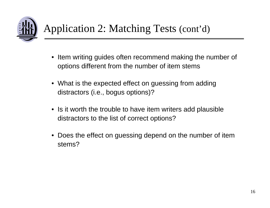

# Application 2: Matching Tests (cont'd)

- Item writing guides often recommend making the number of options different from the number of item stems
- What is the expected effect on guessing from adding distractors (i.e., bogus options)?
- Is it worth the trouble to have item writers add plausible distractors to the list of correct options?
- Does the effect on guessing depend on the number of item stems?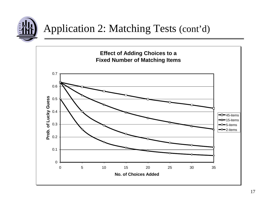

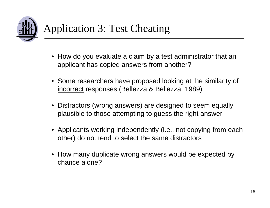

- How do you evaluate a claim by a test administrator that an applicant has copied answers from another?
- Some researchers have proposed looking at the similarity of incorrect responses (Bellezza & Bellezza, 1989)
- Distractors (wrong answers) are designed to seem equally plausible to those attempting to guess the right answer
- Applicants working independently (i.e., not copying from each other) do not tend to select the same distractors
- How many duplicate wrong answers would be expected by chance alone?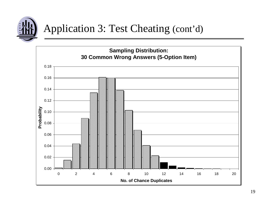

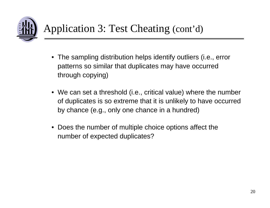

- The sampling distribution helps identify outliers (i.e., error patterns so similar that duplicates may have occurred through copying)
- We can set a threshold (i.e., critical value) where the number of duplicates is so extreme that it is unlikely to have occurred by chance (e.g., only one chance in a hundred)
- Does the number of multiple choice options affect the number of expected duplicates?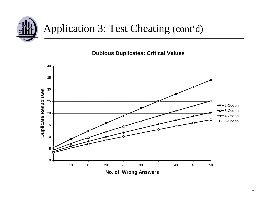

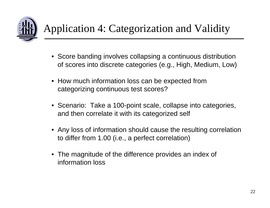

# Application 4: Categorization and Validity

- Score banding involves collapsing a continuous distribution of scores into discrete categories (e.g., High, Medium, Low)
- How much information loss can be expected from categorizing continuous test scores?
- Scenario: Take a 100-point scale, collapse into categories, and then correlate it with its categorized self
- Any loss of information should cause the resulting correlation to differ from 1.00 (i.e., a perfect correlation)
- The magnitude of the difference provides an index of information loss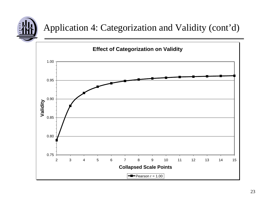

#### Application 4: Categorization and Validity (cont'd)

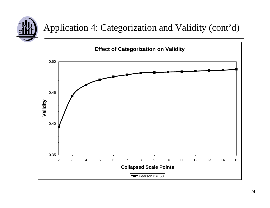

#### Application 4: Categorization and Validity (cont'd)

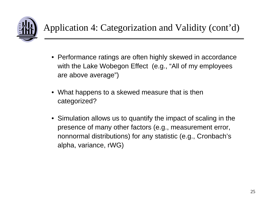

- Performance ratings are often highly skewed in accordance with the Lake Wobegon Effect (e.g., "All of my employees are above average")
- What happens to a skewed measure that is then categorized?
- Simulation allows us to quantify the impact of scaling in the presence of many other factors (e.g., measurement error, nonnormal distributions) for any statistic (e.g., Cronbach's alpha, variance, rWG)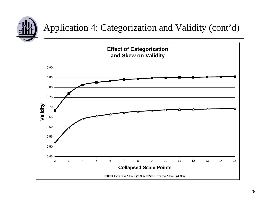

#### Application 4: Categorization and Validity (cont'd)

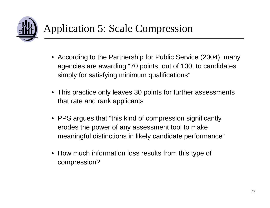

- According to the Partnership for Public Service (2004), many agencies are awarding "70 points, out of 100, to candidates simply for satisfying minimum qualifications"
- This practice only leaves 30 points for further assessments that rate and rank applicants
- PPS argues that "this kind of compression significantly erodes the power of any assessment tool to make meaningful distinctions in likely candidate performance"
- How much information loss results from this type of compression?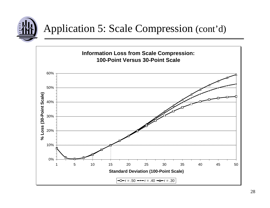

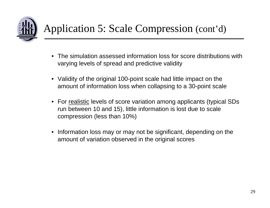

# Application 5: Scale Compression (cont'd)

- The simulation assessed information loss for score distributions with varying levels of spread and predictive validity
- Validity of the original 100-point scale had little impact on the amount of information loss when collapsing to a 30-point scale
- For <u>realistic</u> levels of score variation among applicants (typical SDs run between 10 and 15), little information is lost due to scale compression (less than 10%)
- Information loss may or may not be significant, depending on the amount of variation observed in the original scores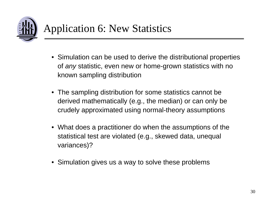

- Simulation can be used to derive the distributional properties of *any* statistic, even new or home-grown statistics with no known sampling distribution
- The sampling distribution for some statistics cannot be derived mathematically (e.g., the median) or can only be crudely approximated using normal-theory assumptions
- What does a practitioner do when the assumptions of the statistical test are violated (e.g., skewed data, unequal variances)?
- Simulation gives us a way to solve these problems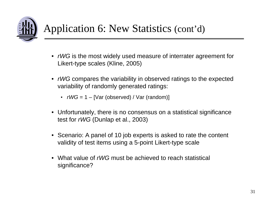

## Application 6: New Statistics (cont'd)

- *rWG* is the most widely used measure of interrater agreement for Likert-type scales (Kline, 2005)
- *rWG* compares the variability in observed ratings to the expected variability of randomly generated ratings:
	- *rWG* = 1 [Var (observed) / Var (random)]
- Unfortunately, there is no consensus on a statistical significance test for *rWG* (Dunlap et al., 2003)
- Scenario: A panel of 10 job experts is asked to rate the content validity of test items using a 5-point Likert-type scale
- What value of *rWG* must be achieved to reach statistical significance?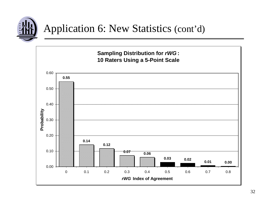

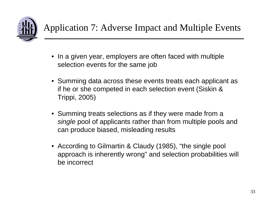

- In a given year, employers are often faced with multiple selection events for the same job
- Summing data across these events treats each applicant as if he or she competed in each selection event (Siskin & Trippi, 2005)
- Summing treats selections as if they were made from a *single* pool of applicants rather than from multiple pools and can produce biased, misleading results
- According to Gilmartin & Claudy (1985), "the single pool approach is inherently wrong" and selection probabilities will be incorrect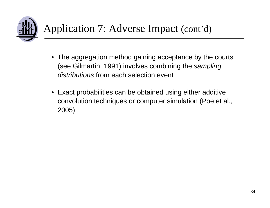

- The aggregation method gaining acceptance by the courts (see Gilmartin, 1991) involves combining the *sampling distributions* from each selection event
- Exact probabilities can be obtained using either additive convolution techniques or computer simulation (Poe et al., 2005)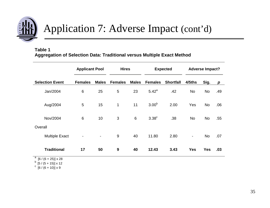

#### **Table 1 Aggregation of Selection Data: Traditional versus Multiple Exact Method**

|                                                                          | <b>Applicant Pool</b> |              | <b>Hires</b>     |              | <b>Expected</b>   |                  | <b>Adverse Impact?</b> |            |                  |
|--------------------------------------------------------------------------|-----------------------|--------------|------------------|--------------|-------------------|------------------|------------------------|------------|------------------|
| <b>Selection Event</b>                                                   | <b>Females</b>        | <b>Males</b> | <b>Females</b>   | <b>Males</b> | <b>Females</b>    | <b>Shortfall</b> | 4/5ths                 | Sig.       | $\boldsymbol{p}$ |
| Jan/2004                                                                 | 6                     | 25           | 5                | 23           | 5.42 <sup>a</sup> | .42              | <b>No</b>              | No         | .49              |
| Aug/2004                                                                 | 5                     | 15           | $\mathbf{1}$     | 11           | 3.00 <sup>b</sup> | 2.00             | Yes                    | <b>No</b>  | .06              |
| Nov/2004                                                                 | $6\phantom{1}$        | 10           | 3                | 6            | 3.38 <sup>c</sup> | .38              | N <sub>o</sub>         | <b>No</b>  | .55              |
| Overall                                                                  |                       |              |                  |              |                   |                  |                        |            |                  |
| <b>Multiple Exact</b>                                                    | ۰                     | ۰            | 9                | 40           | 11.80             | 2.80             | $\blacksquare$         | No         | .07              |
| <b>Traditional</b><br>$\overline{a}$ in $\overline{a}$ is $\overline{a}$ | 17                    | 50           | $\boldsymbol{9}$ | 40           | 12.43             | 3.43             | <b>Yes</b>             | <b>Yes</b> | .03              |

<sup>a</sup> [6 / (6 + 25)] x 28

 $^{\rm b}$  [5 / (5 + 15)] x 12

 $c \left[ 6 / (6 + 10) \right]$  x 9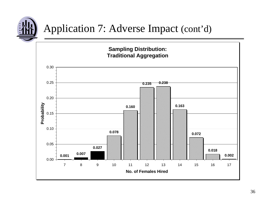

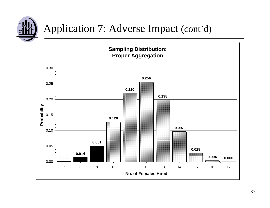

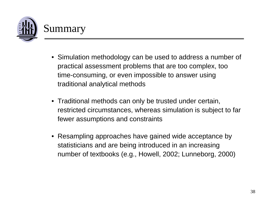

- Simulation methodology can be used to address a number of practical assessment problems that are too complex, too time-consuming, or even impossible to answer using traditional analytical methods
- Traditional methods can only be trusted under certain, restricted circumstances, whereas simulation is subject to far fewer assumptions and constraints
- Resampling approaches have gained wide acceptance by statisticians and are being introduced in an increasing number of textbooks (e.g., Howell, 2002; Lunneborg, 2000)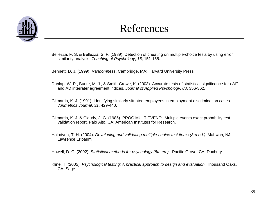

Bellezza, F. S. & Bellezza, S. F. (1989). Detection of cheating on multiple-choice tests by using error similarity analysis. *Teaching of Psychology*, *16*, 151-155.

Bennett, D. J. (1999). *Randomness*. Cambridge, MA: Harvard University Press.

Dunlap, W. P., Burke, M. J., & Smith-Crowe, K. (2003). Accurate tests of statistical significance for *rWG* and AD interrater agreement indices. *Journal of Applied Psychology*, *88*, 356-362.

Gilmartin, K. J. (1991). Identifying similarly situated employees in employment discrimination cases. *Jurimetrics Journal*, *31*, 429-440.

Gilmartin, K. J. & Claudy, J. G. (1985). PROC MULTIEVENT: Multiple events exact probability test validation report. Palo Alto, CA: American Institutes for Research.

Haladyna, T. H. (2004). *Developing and validating multiple-choice test items (3rd ed.)*. Mahwah, NJ: Lawrence Erlbaum.

Howell, D. C. (2002). *Statistical methods for psychology (5th ed.)*. Pacific Grove, CA: Duxbury.

Kline, T. (2005). *Psychological testing: A practical approach to design and evaluation*. Thousand Oaks, CA: Sage.